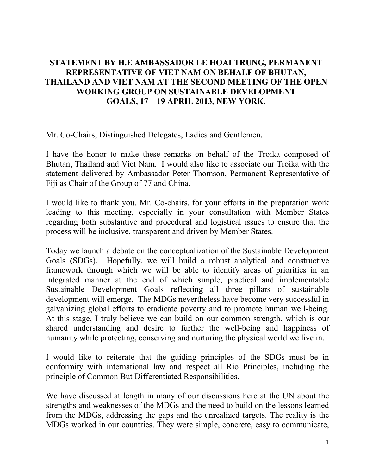## **STATEMENT BY H.E AMBASSADOR LE HOAI TRUNG, PERMANENT REPRESENTATIVE OF VIET NAM ON BEHALF OF BHUTAN, THAILAND AND VIET NAM AT THE SECOND MEETING OF THE OPEN WORKING GROUP ON SUSTAINABLE DEVELOPMENT GOALS, 17 – 19 APRIL 2013, NEW YORK.**

Mr. Co-Chairs, Distinguished Delegates, Ladies and Gentlemen.

I have the honor to make these remarks on behalf of the Troika composed of Bhutan, Thailand and Viet Nam. I would also like to associate our Troika with the statement delivered by Ambassador Peter Thomson, Permanent Representative of Fiji as Chair of the Group of 77 and China.

I would like to thank you, Mr. Co-chairs, for your efforts in the preparation work leading to this meeting, especially in your consultation with Member States regarding both substantive and procedural and logistical issues to ensure that the process will be inclusive, transparent and driven by Member States.

Today we launch a debate on the conceptualization of the Sustainable Development Goals (SDGs). Hopefully, we will build a robust analytical and constructive framework through which we will be able to identify areas of priorities in an integrated manner at the end of which simple, practical and implementable Sustainable Development Goals reflecting all three pillars of sustainable development will emerge. The MDGs nevertheless have become very successful in galvanizing global efforts to eradicate poverty and to promote human well-being. At this stage, I truly believe we can build on our common strength, which is our shared understanding and desire to further the well-being and happiness of humanity while protecting, conserving and nurturing the physical world we live in.

I would like to reiterate that the guiding principles of the SDGs must be in conformity with international law and respect all Rio Principles, including the principle of Common But Differentiated Responsibilities.

We have discussed at length in many of our discussions here at the UN about the strengths and weaknesses of the MDGs and the need to build on the lessons learned from the MDGs, addressing the gaps and the unrealized targets. The reality is the MDGs worked in our countries. They were simple, concrete, easy to communicate,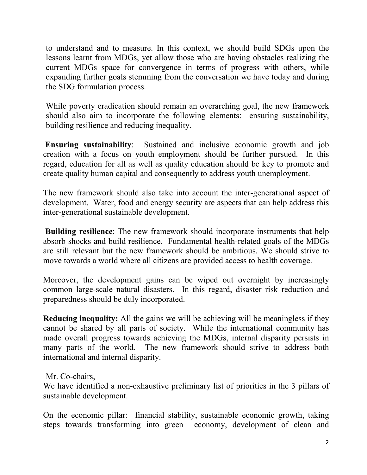to understand and to measure. In this context, we should build SDGs upon the lessons learnt from MDGs, yet allow those who are having obstacles realizing the current MDGs space for convergence in terms of progress with others, while expanding further goals stemming from the conversation we have today and during the SDG formulation process.

While poverty eradication should remain an overarching goal, the new framework should also aim to incorporate the following elements: ensuring sustainability, building resilience and reducing inequality.

**Ensuring sustainability**: Sustained and inclusive economic growth and job creation with a focus on youth employment should be further pursued. In this regard, education for all as well as quality education should be key to promote and create quality human capital and consequently to address youth unemployment.

The new framework should also take into account the inter-generational aspect of development. Water, food and energy security are aspects that can help address this inter-generational sustainable development.

 **Building resilience**: The new framework should incorporate instruments that help absorb shocks and build resilience. Fundamental health-related goals of the MDGs are still relevant but the new framework should be ambitious. We should strive to move towards a world where all citizens are provided access to health coverage.

Moreover, the development gains can be wiped out overnight by increasingly common large-scale natural disasters. In this regard, disaster risk reduction and preparedness should be duly incorporated.

**Reducing inequality:** All the gains we will be achieving will be meaningless if they cannot be shared by all parts of society. While the international community has made overall progress towards achieving the MDGs, internal disparity persists in many parts of the world. The new framework should strive to address both international and internal disparity.

Mr. Co-chairs,

We have identified a non-exhaustive preliminary list of priorities in the 3 pillars of sustainable development.

On the economic pillar: financial stability, sustainable economic growth, taking steps towards transforming into green economy, development of clean and